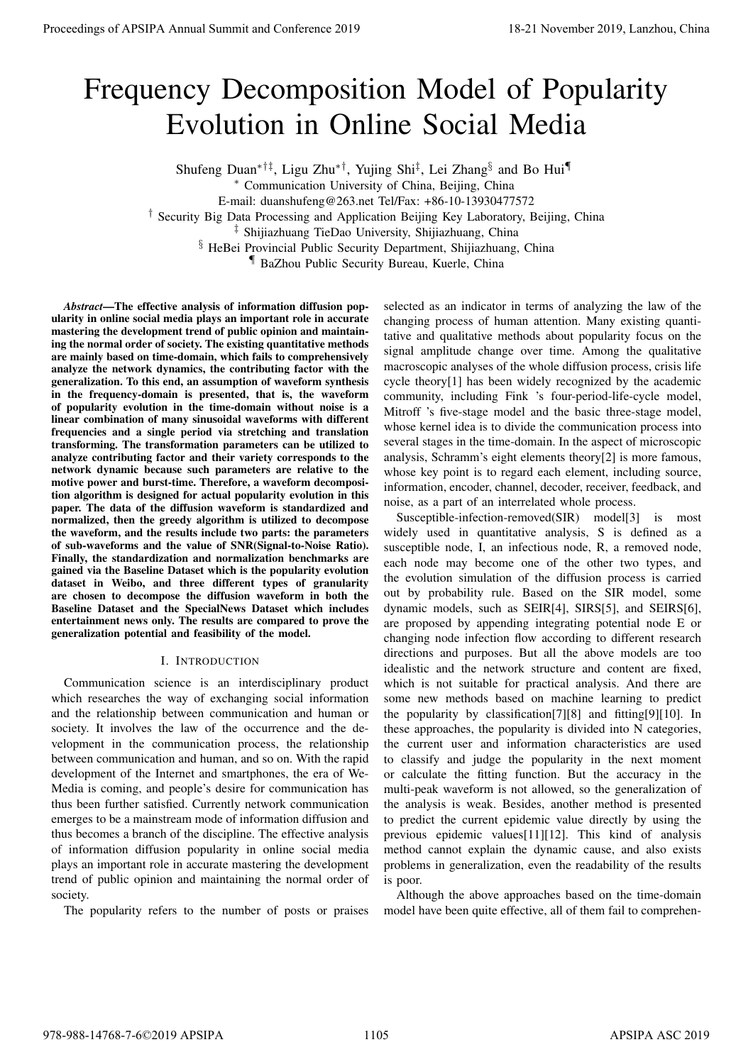# Frequency Decomposition Model of Popularity Evolution in Online Social Media

Shufeng Duan∗†‡, Ligu Zhu∗†, Yujing Shi‡ , Lei Zhang§ and Bo Hui¶

<sup>∗</sup> Communication University of China, Beijing, China

E-mail: duanshufeng@263.net Tel/Fax: +86-10-13930477572

† Security Big Data Processing and Application Beijing Key Laboratory, Beijing, China

‡ Shijiazhuang TieDao University, Shijiazhuang, China

§ HeBei Provincial Public Security Department, Shijiazhuang, China

¶ BaZhou Public Security Bureau, Kuerle, China

*Abstract*—The effective analysis of information diffusion popularity in online social media plays an important role in accurate mastering the development trend of public opinion and maintaining the normal order of society. The existing quantitative methods are mainly based on time-domain, which fails to comprehensively analyze the network dynamics, the contributing factor with the generalization. To this end, an assumption of waveform synthesis in the frequency-domain is presented, that is, the waveform of popularity evolution in the time-domain without noise is a linear combination of many sinusoidal waveforms with different frequencies and a single period via stretching and translation transforming. The transformation parameters can be utilized to analyze contributing factor and their variety corresponds to the network dynamic because such parameters are relative to the motive power and burst-time. Therefore, a waveform decomposition algorithm is designed for actual popularity evolution in this paper. The data of the diffusion waveform is standardized and normalized, then the greedy algorithm is utilized to decompose the waveform, and the results include two parts: the parameters of sub-waveforms and the value of SNR(Signal-to-Noise Ratio). Finally, the standardization and normalization benchmarks are gained via the Baseline Dataset which is the popularity evolution dataset in Weibo, and three different types of granularity are chosen to decompose the diffusion waveform in both the Baseline Dataset and the SpecialNews Dataset which includes entertainment news only. The results are compared to prove the generalization potential and feasibility of the model.

## I. INTRODUCTION

Communication science is an interdisciplinary product which researches the way of exchanging social information and the relationship between communication and human or society. It involves the law of the occurrence and the development in the communication process, the relationship between communication and human, and so on. With the rapid development of the Internet and smartphones, the era of We-Media is coming, and people's desire for communication has thus been further satisfied. Currently network communication emerges to be a mainstream mode of information diffusion and thus becomes a branch of the discipline. The effective analysis of information diffusion popularity in online social media plays an important role in accurate mastering the development trend of public opinion and maintaining the normal order of society.

The popularity refers to the number of posts or praises

selected as an indicator in terms of analyzing the law of the changing process of human attention. Many existing quantitative and qualitative methods about popularity focus on the signal amplitude change over time. Among the qualitative macroscopic analyses of the whole diffusion process, crisis life cycle theory[1] has been widely recognized by the academic community, including Fink 's four-period-life-cycle model, Mitroff 's five-stage model and the basic three-stage model, whose kernel idea is to divide the communication process into several stages in the time-domain. In the aspect of microscopic analysis, Schramm's eight elements theory[2] is more famous, whose key point is to regard each element, including source, information, encoder, channel, decoder, receiver, feedback, and noise, as a part of an interrelated whole process.

Susceptible-infection-removed(SIR) model[3] is most widely used in quantitative analysis, S is defined as a susceptible node, I, an infectious node, R, a removed node, each node may become one of the other two types, and the evolution simulation of the diffusion process is carried out by probability rule. Based on the SIR model, some dynamic models, such as SEIR[4], SIRS[5], and SEIRS[6], are proposed by appending integrating potential node E or changing node infection flow according to different research directions and purposes. But all the above models are too idealistic and the network structure and content are fixed, which is not suitable for practical analysis. And there are some new methods based on machine learning to predict the popularity by classification[7][8] and fitting[9][10]. In these approaches, the popularity is divided into N categories, the current user and information characteristics are used to classify and judge the popularity in the next moment or calculate the fitting function. But the accuracy in the multi-peak waveform is not allowed, so the generalization of the analysis is weak. Besides, another method is presented to predict the current epidemic value directly by using the previous epidemic values[11][12]. This kind of analysis method cannot explain the dynamic cause, and also exists problems in generalization, even the readability of the results is poor. Proceedings of APSIPA Annual Summit and Conference 2019 18-21 November 2019, Lanzhou, China 978-988-14768-7-6©2019 APSIPA 1105 APSIPA ASC 2019

Although the above approaches based on the time-domain model have been quite effective, all of them fail to comprehen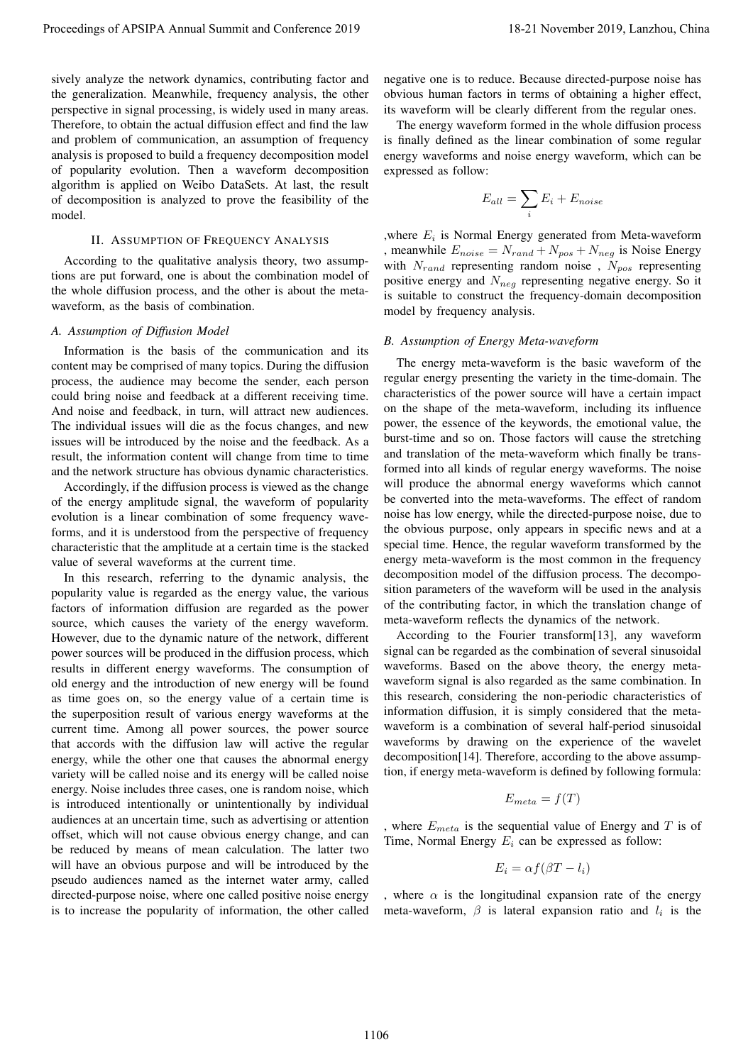sively analyze the network dynamics, contributing factor and the generalization. Meanwhile, frequency analysis, the other perspective in signal processing, is widely used in many areas. Therefore, to obtain the actual diffusion effect and find the law and problem of communication, an assumption of frequency analysis is proposed to build a frequency decomposition model of popularity evolution. Then a waveform decomposition algorithm is applied on Weibo DataSets. At last, the result of decomposition is analyzed to prove the feasibility of the model.

## II. ASSUMPTION OF FREQUENCY ANALYSIS

According to the qualitative analysis theory, two assumptions are put forward, one is about the combination model of the whole diffusion process, and the other is about the metawaveform, as the basis of combination.

## *A. Assumption of Diffusion Model*

Information is the basis of the communication and its content may be comprised of many topics. During the diffusion process, the audience may become the sender, each person could bring noise and feedback at a different receiving time. And noise and feedback, in turn, will attract new audiences. The individual issues will die as the focus changes, and new issues will be introduced by the noise and the feedback. As a result, the information content will change from time to time and the network structure has obvious dynamic characteristics.

Accordingly, if the diffusion process is viewed as the change of the energy amplitude signal, the waveform of popularity evolution is a linear combination of some frequency waveforms, and it is understood from the perspective of frequency characteristic that the amplitude at a certain time is the stacked value of several waveforms at the current time.

In this research, referring to the dynamic analysis, the popularity value is regarded as the energy value, the various factors of information diffusion are regarded as the power source, which causes the variety of the energy waveform. However, due to the dynamic nature of the network, different power sources will be produced in the diffusion process, which results in different energy waveforms. The consumption of old energy and the introduction of new energy will be found as time goes on, so the energy value of a certain time is the superposition result of various energy waveforms at the current time. Among all power sources, the power source that accords with the diffusion law will active the regular energy, while the other one that causes the abnormal energy variety will be called noise and its energy will be called noise energy. Noise includes three cases, one is random noise, which is introduced intentionally or unintentionally by individual audiences at an uncertain time, such as advertising or attention offset, which will not cause obvious energy change, and can be reduced by means of mean calculation. The latter two will have an obvious purpose and will be introduced by the pseudo audiences named as the internet water army, called directed-purpose noise, where one called positive noise energy is to increase the popularity of information, the other called Proceedings of APSIPA Annual Summit and Conference 2019<br>
And the state of the state of the state of the state of the state of the state of the state of the state of the state of the state of the state of the state of the

negative one is to reduce. Because directed-purpose noise has obvious human factors in terms of obtaining a higher effect, its waveform will be clearly different from the regular ones.

The energy waveform formed in the whole diffusion process is finally defined as the linear combination of some regular energy waveforms and noise energy waveform, which can be expressed as follow:

$$
E_{all} = \sum_{i} E_i + E_{noise}
$$

, where  $E_i$  is Normal Energy generated from Meta-waveform , meanwhile  $E_{noise} = N_{rand} + N_{pos} + N_{neg}$  is Noise Energy with  $N_{rand}$  representing random noise,  $N_{pos}$  representing positive energy and  $N_{neg}$  representing negative energy. So it is suitable to construct the frequency-domain decomposition model by frequency analysis.

## *B. Assumption of Energy Meta-waveform*

The energy meta-waveform is the basic waveform of the regular energy presenting the variety in the time-domain. The characteristics of the power source will have a certain impact on the shape of the meta-waveform, including its influence power, the essence of the keywords, the emotional value, the burst-time and so on. Those factors will cause the stretching and translation of the meta-waveform which finally be transformed into all kinds of regular energy waveforms. The noise will produce the abnormal energy waveforms which cannot be converted into the meta-waveforms. The effect of random noise has low energy, while the directed-purpose noise, due to the obvious purpose, only appears in specific news and at a special time. Hence, the regular waveform transformed by the energy meta-waveform is the most common in the frequency decomposition model of the diffusion process. The decomposition parameters of the waveform will be used in the analysis of the contributing factor, in which the translation change of meta-waveform reflects the dynamics of the network.

According to the Fourier transform[13], any waveform signal can be regarded as the combination of several sinusoidal waveforms. Based on the above theory, the energy metawaveform signal is also regarded as the same combination. In this research, considering the non-periodic characteristics of information diffusion, it is simply considered that the metawaveform is a combination of several half-period sinusoidal waveforms by drawing on the experience of the wavelet decomposition[14]. Therefore, according to the above assumption, if energy meta-waveform is defined by following formula:

$$
E_{meta} = f(T)
$$

, where  $E_{meta}$  is the sequential value of Energy and T is of Time, Normal Energy  $E_i$  can be expressed as follow:

$$
E_i = \alpha f(\beta T - l_i)
$$

, where  $\alpha$  is the longitudinal expansion rate of the energy meta-waveform,  $\beta$  is lateral expansion ratio and  $l_i$  is the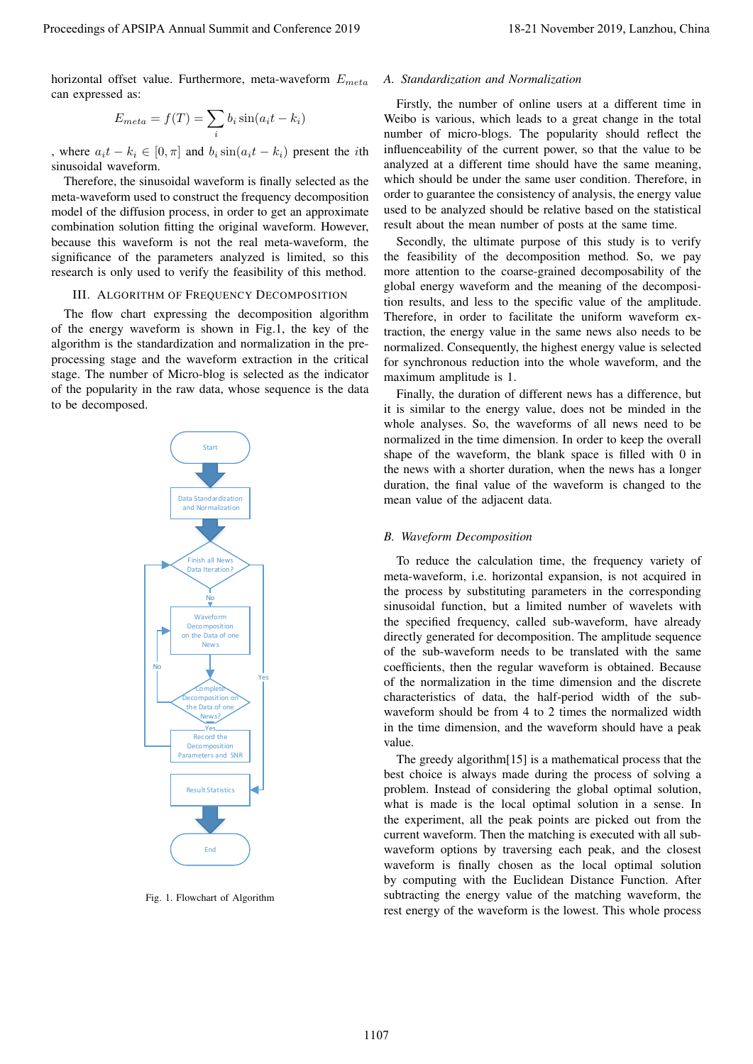horizontal offset value. Furthermore, meta-waveform  $E_{meta}$ can expressed as:

$$
E_{meta} = f(T) = \sum_{i} b_i \sin(a_i t - k_i)
$$

, where  $a_i t - k_i \in [0, \pi]$  and  $b_i \sin(a_i t - k_i)$  present the *i*th sinusoidal waveform.

Therefore, the sinusoidal waveform is finally selected as the meta-waveform used to construct the frequency decomposition model of the diffusion process, in order to get an approximate combination solution fitting the original waveform. However, because this waveform is not the real meta-waveform, the significance of the parameters analyzed is limited, so this research is only used to verify the feasibility of this method.

#### III. ALGORITHM OF FREQUENCY DECOMPOSITION

The flow chart expressing the decomposition algorithm of the energy waveform is shown in Fig.1, the key of the algorithm is the standardization and normalization in the preprocessing stage and the waveform extraction in the critical stage. The number of Micro-blog is selected as the indicator of the popularity in the raw data, whose sequence is the data to be decomposed.



Fig. 1. Flowchart of Algorithm

### *A. Standardization and Normalization*

Firstly, the number of online users at a different time in Weibo is various, which leads to a great change in the total number of micro-blogs. The popularity should reflect the influenceability of the current power, so that the value to be analyzed at a different time should have the same meaning, which should be under the same user condition. Therefore, in order to guarantee the consistency of analysis, the energy value used to be analyzed should be relative based on the statistical result about the mean number of posts at the same time.

Secondly, the ultimate purpose of this study is to verify the feasibility of the decomposition method. So, we pay more attention to the coarse-grained decomposability of the global energy waveform and the meaning of the decomposition results, and less to the specific value of the amplitude. Therefore, in order to facilitate the uniform waveform extraction, the energy value in the same news also needs to be normalized. Consequently, the highest energy value is selected for synchronous reduction into the whole waveform, and the maximum amplitude is 1.

Finally, the duration of different news has a difference, but it is similar to the energy value, does not be minded in the whole analyses. So, the waveforms of all news need to be normalized in the time dimension. In order to keep the overall shape of the waveform, the blank space is filled with 0 in the news with a shorter duration, when the news has a longer duration, the final value of the waveform is changed to the mean value of the adjacent data.

## *B. Waveform Decomposition*

To reduce the calculation time, the frequency variety of meta-waveform, i.e. horizontal expansion, is not acquired in the process by substituting parameters in the corresponding sinusoidal function, but a limited number of wavelets with the specified frequency, called sub-waveform, have already directly generated for decomposition. The amplitude sequence of the sub-waveform needs to be translated with the same coefficients, then the regular waveform is obtained. Because of the normalization in the time dimension and the discrete characteristics of data, the half-period width of the subwaveform should be from 4 to 2 times the normalized width in the time dimension, and the waveform should have a peak value.

The greedy algorithm[15] is a mathematical process that the best choice is always made during the process of solving a problem. Instead of considering the global optimal solution, what is made is the local optimal solution in a sense. In the experiment, all the peak points are picked out from the current waveform. Then the matching is executed with all subwaveform options by traversing each peak, and the closest waveform is finally chosen as the local optimal solution by computing with the Euclidean Distance Function. After subtracting the energy value of the matching waveform, the rest energy of the waveform is the lowest. This whole process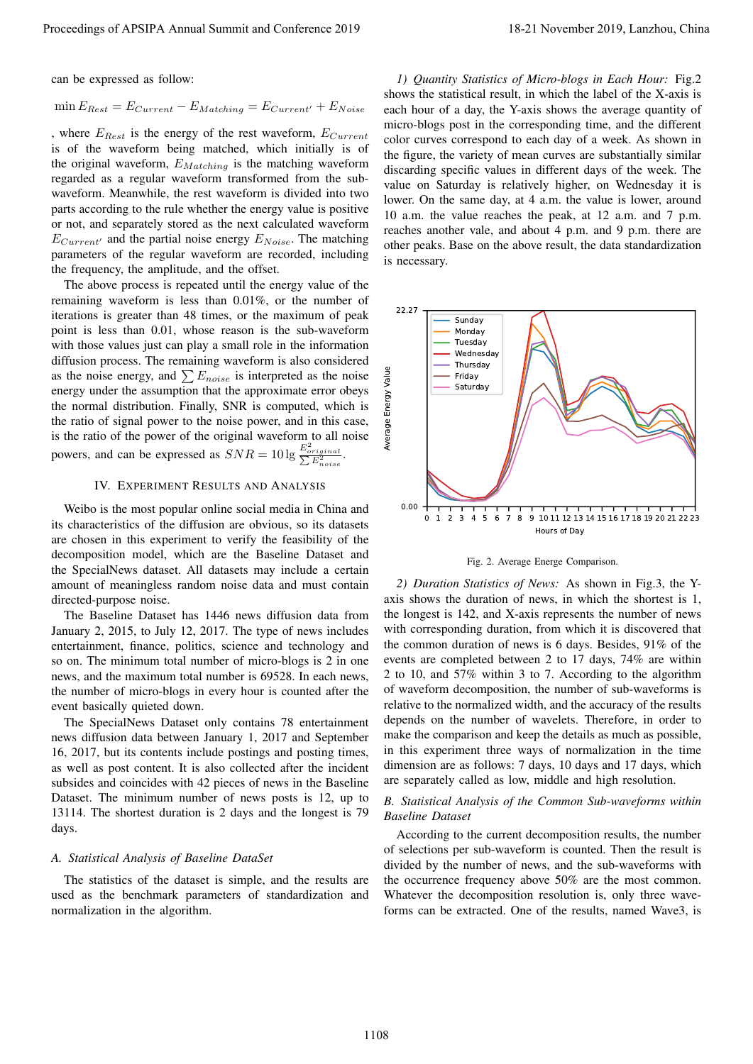can be expressed as follow:

$$
\min E_{Rest} = E_{Current} - E_{Matching} = E_{Current'} + E_{Noise}
$$

, where  $E_{Rest}$  is the energy of the rest waveform,  $E_{Current}$ is of the waveform being matched, which initially is of the original waveform,  $E_{Matching}$  is the matching waveform regarded as a regular waveform transformed from the subwaveform. Meanwhile, the rest waveform is divided into two parts according to the rule whether the energy value is positive or not, and separately stored as the next calculated waveform  $E_{Current}$  and the partial noise energy  $E_{Noise}$ . The matching parameters of the regular waveform are recorded, including the frequency, the amplitude, and the offset.

The above process is repeated until the energy value of the remaining waveform is less than 0.01%, or the number of iterations is greater than 48 times, or the maximum of peak point is less than 0.01, whose reason is the sub-waveform with those values just can play a small role in the information diffusion process. The remaining waveform is also considered as the noise energy, and  $\sum E_{noise}$  is interpreted as the noise energy under the assumption that the approximate error obeys the normal distribution. Finally, SNR is computed, which is the ratio of signal power to the noise power, and in this case, is the ratio of the power of the original waveform to all noise powers, and can be expressed as  $SNR = 10 \lg \frac{E_{original}^2}{\sum E_{noise}^2}$ .

## IV. EXPERIMENT RESULTS AND ANALYSIS

Weibo is the most popular online social media in China and its characteristics of the diffusion are obvious, so its datasets are chosen in this experiment to verify the feasibility of the decomposition model, which are the Baseline Dataset and the SpecialNews dataset. All datasets may include a certain amount of meaningless random noise data and must contain directed-purpose noise.

The Baseline Dataset has 1446 news diffusion data from January 2, 2015, to July 12, 2017. The type of news includes entertainment, finance, politics, science and technology and so on. The minimum total number of micro-blogs is 2 in one news, and the maximum total number is 69528. In each news, the number of micro-blogs in every hour is counted after the event basically quieted down.

The SpecialNews Dataset only contains 78 entertainment news diffusion data between January 1, 2017 and September 16, 2017, but its contents include postings and posting times, as well as post content. It is also collected after the incident subsides and coincides with 42 pieces of news in the Baseline Dataset. The minimum number of news posts is 12, up to 13114. The shortest duration is 2 days and the longest is 79 days.

#### *A. Statistical Analysis of Baseline DataSet*

The statistics of the dataset is simple, and the results are used as the benchmark parameters of standardization and normalization in the algorithm.

*1) Quantity Statistics of Micro-blogs in Each Hour:* Fig.2 shows the statistical result, in which the label of the X-axis is each hour of a day, the Y-axis shows the average quantity of micro-blogs post in the corresponding time, and the different color curves correspond to each day of a week. As shown in the figure, the variety of mean curves are substantially similar discarding specific values in different days of the week. The value on Saturday is relatively higher, on Wednesday it is lower. On the same day, at 4 a.m. the value is lower, around 10 a.m. the value reaches the peak, at 12 a.m. and 7 p.m. reaches another vale, and about 4 p.m. and 9 p.m. there are other peaks. Base on the above result, the data standardization is necessary.



Fig. 2. Average Energe Comparison.

*2) Duration Statistics of News:* As shown in Fig.3, the Yaxis shows the duration of news, in which the shortest is 1, the longest is 142, and X-axis represents the number of news with corresponding duration, from which it is discovered that the common duration of news is 6 days. Besides, 91% of the events are completed between 2 to 17 days, 74% are within 2 to 10, and 57% within 3 to 7. According to the algorithm of waveform decomposition, the number of sub-waveforms is relative to the normalized width, and the accuracy of the results depends on the number of wavelets. Therefore, in order to make the comparison and keep the details as much as possible, in this experiment three ways of normalization in the time dimension are as follows: 7 days, 10 days and 17 days, which are separately called as low, middle and high resolution.

## *B. Statistical Analysis of the Common Sub-waveforms within Baseline Dataset*

According to the current decomposition results, the number of selections per sub-waveform is counted. Then the result is divided by the number of news, and the sub-waveforms with the occurrence frequency above 50% are the most common. Whatever the decomposition resolution is, only three waveforms can be extracted. One of the results, named Wave3, is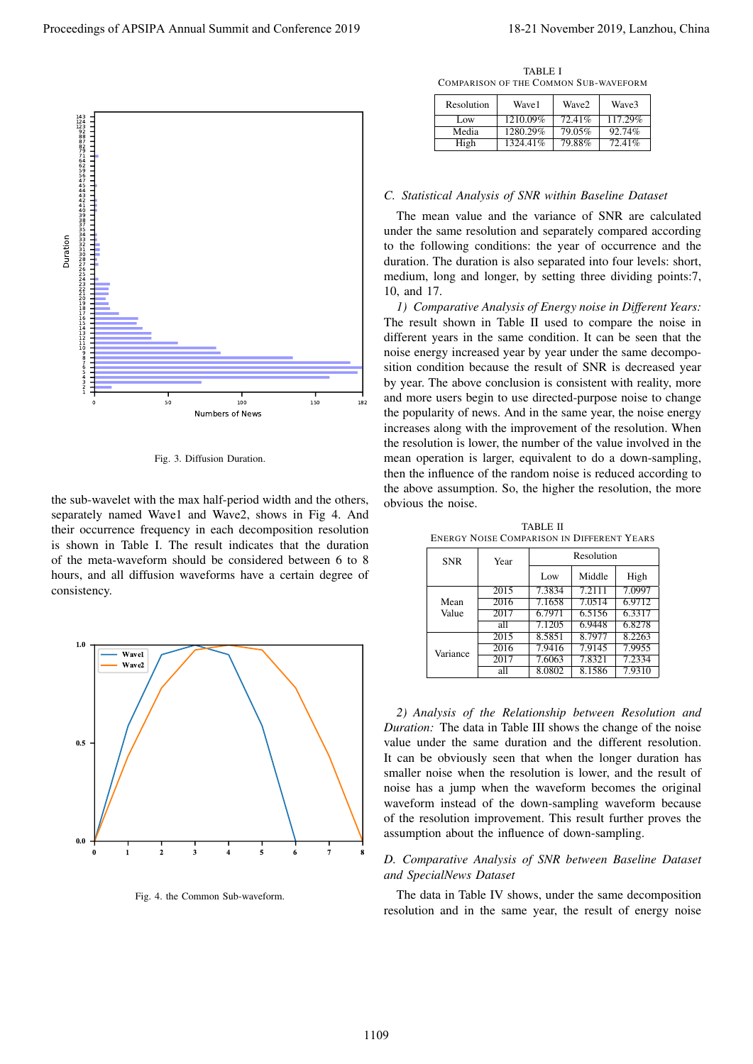

Fig. 3. Diffusion Duration.

the sub-wavelet with the max half-period width and the others, separately named Wave1 and Wave2, shows in Fig 4. And their occurrence frequency in each decomposition resolution is shown in Table I. The result indicates that the duration of the meta-waveform should be considered between 6 to 8 hours, and all diffusion waveforms have a certain degree of consistency.



Fig. 4. the Common Sub-waveform.

TABLE I COMPARISON OF THE COMMON SUB-WAVEFORM

| Resolution | Wave1    | Wave2  | Wave3   |
|------------|----------|--------|---------|
| Low        | 1210.09% | 72.41% | 117.29% |
| Media      | 1280.29% | 79.05% | 92.74%  |
| High       | 1324.41% | 79.88% | 72.41%  |

## *C. Statistical Analysis of SNR within Baseline Dataset*

The mean value and the variance of SNR are calculated under the same resolution and separately compared according to the following conditions: the year of occurrence and the duration. The duration is also separated into four levels: short, medium, long and longer, by setting three dividing points:7, 10, and 17.

*1) Comparative Analysis of Energy noise in Different Years:* The result shown in Table II used to compare the noise in different years in the same condition. It can be seen that the noise energy increased year by year under the same decomposition condition because the result of SNR is decreased year by year. The above conclusion is consistent with reality, more and more users begin to use directed-purpose noise to change the popularity of news. And in the same year, the noise energy increases along with the improvement of the resolution. When the resolution is lower, the number of the value involved in the mean operation is larger, equivalent to do a down-sampling, then the influence of the random noise is reduced according to the above assumption. So, the higher the resolution, the more obvious the noise.

TABLE II ENERGY NOISE COMPARISON IN DIFFERENT YEARS

| <b>SNR</b>    | Year | Resolution |        |        |
|---------------|------|------------|--------|--------|
|               |      | Low        | Middle | High   |
| Mean<br>Value | 2015 | 7.3834     | 7.2111 | 7.0997 |
|               | 2016 | 7.1658     | 7.0514 | 6.9712 |
|               | 2017 | 6.7971     | 6.5156 | 6.3317 |
|               | all  | 7.1205     | 6.9448 | 6.8278 |
| Variance      | 2015 | 8.5851     | 8.7977 | 8.2263 |
|               | 2016 | 7.9416     | 7.9145 | 7.9955 |
|               | 2017 | 7.6063     | 7.8321 | 7.2334 |
|               | all  | 8.0802     | 8.1586 | 7.9310 |

*2) Analysis of the Relationship between Resolution and Duration:* The data in Table III shows the change of the noise value under the same duration and the different resolution. It can be obviously seen that when the longer duration has smaller noise when the resolution is lower, and the result of noise has a jump when the waveform becomes the original waveform instead of the down-sampling waveform because of the resolution improvement. This result further proves the assumption about the influence of down-sampling.

## *D. Comparative Analysis of SNR between Baseline Dataset and SpecialNews Dataset*

The data in Table IV shows, under the same decomposition resolution and in the same year, the result of energy noise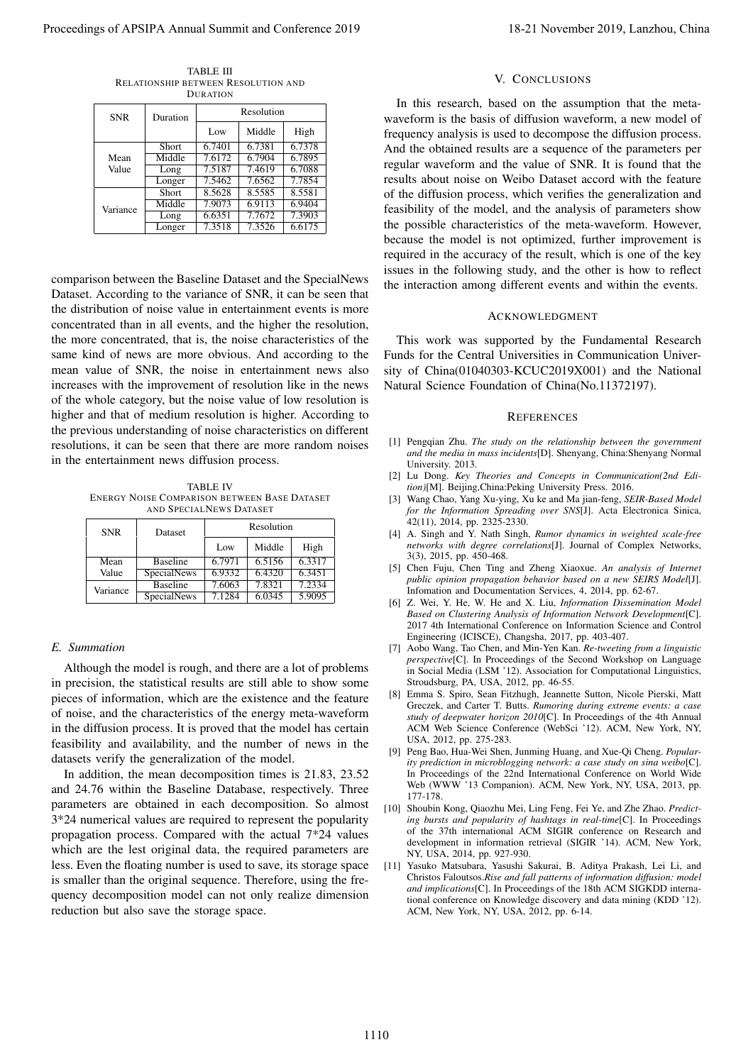TABLE III RELATIONSHIP BETWEEN RESOLUTION AND DURATION

| <b>SNR</b>    | Duration | Resolution |        |        |
|---------------|----------|------------|--------|--------|
|               |          | Low        | Middle | High   |
| Mean<br>Value | Short    | 6.7401     | 6.7381 | 6.7378 |
|               | Middle   | 7.6172     | 6.7904 | 6.7895 |
|               | Long     | 7.5187     | 7.4619 | 6.7088 |
|               | Longer   | 7.5462     | 7.6562 | 7.7854 |
| Variance      | Short    | 8.5628     | 8.5585 | 8.5581 |
|               | Middle   | 7.9073     | 6.9113 | 6.9404 |
|               | Long     | 6.6351     | 7.7672 | 7.3903 |
|               | Longer   | 7.3518     | 7.3526 | 6.6175 |

comparison between the Baseline Dataset and the SpecialNews Dataset. According to the variance of SNR, it can be seen that the distribution of noise value in entertainment events is more concentrated than in all events, and the higher the resolution, the more concentrated, that is, the noise characteristics of the same kind of news are more obvious. And according to the mean value of SNR, the noise in entertainment news also increases with the improvement of resolution like in the news of the whole category, but the noise value of low resolution is higher and that of medium resolution is higher. According to the previous understanding of noise characteristics on different resolutions, it can be seen that there are more random noises in the entertainment news diffusion process. Proceedings of APSIPA Annual Summit at China 111 at the conference 2019 18-21 November 2019 18-21 November 2019 18-21 November 2019 18-21 November 2019 18-21 November 2019 18-21 November 2019 18-21 November 2019 18-21 Nov

TABLE IV ENERGY NOISE COMPARISON BETWEEN BASE DATASET AND SPECIALNEWS DATASET

| <b>SNR</b> | Dataset            | Resolution |        |        |
|------------|--------------------|------------|--------|--------|
|            |                    | Low        | Middle | High   |
| Mean       | <b>Baseline</b>    | 6.7971     | 6.5156 | 6.3317 |
| Value      | <b>SpecialNews</b> | 6.9332     | 6.4320 | 6.3451 |
| Variance   | <b>Baseline</b>    | 7.6063     | 7.8321 | 7.2334 |
|            | SpecialNews        | 7.1284     | 6.0345 | 5.9095 |

#### *E. Summation*

Although the model is rough, and there are a lot of problems in precision, the statistical results are still able to show some pieces of information, which are the existence and the feature of noise, and the characteristics of the energy meta-waveform in the diffusion process. It is proved that the model has certain feasibility and availability, and the number of news in the datasets verify the generalization of the model.

In addition, the mean decomposition times is 21.83, 23.52 and 24.76 within the Baseline Database, respectively. Three parameters are obtained in each decomposition. So almost 3\*24 numerical values are required to represent the popularity propagation process. Compared with the actual 7\*24 values which are the lest original data, the required parameters are less. Even the floating number is used to save, its storage space is smaller than the original sequence. Therefore, using the frequency decomposition model can not only realize dimension reduction but also save the storage space.

### V. CONCLUSIONS

In this research, based on the assumption that the metawaveform is the basis of diffusion waveform, a new model of frequency analysis is used to decompose the diffusion process. And the obtained results are a sequence of the parameters per regular waveform and the value of SNR. It is found that the results about noise on Weibo Dataset accord with the feature of the diffusion process, which verifies the generalization and feasibility of the model, and the analysis of parameters show the possible characteristics of the meta-waveform. However, because the model is not optimized, further improvement is required in the accuracy of the result, which is one of the key issues in the following study, and the other is how to reflect the interaction among different events and within the events.

#### **ACKNOWLEDGMENT**

This work was supported by the Fundamental Research Funds for the Central Universities in Communication University of China(01040303-KCUC2019X001) and the National Natural Science Foundation of China(No.11372197).

#### **REFERENCES**

- [1] Pengqian Zhu. *The study on the relationship between the government and the media in mass incidents*[D]. Shenyang, China:Shenyang Normal University. 2013.
- [2] Lu Dong. *Key Theories and Concepts in Communication(2nd Edition)*[M]. Beijing,China:Peking University Press. 2016.
- [3] Wang Chao, Yang Xu-ying, Xu ke and Ma jian-feng, *SEIR-Based Model for the Information Spreading over SNS*[J]. Acta Electronica Sinica, 42(11), 2014, pp. 2325-2330.
- [4] A. Singh and Y. Nath Singh, *Rumor dynamics in weighted scale-free networks with degree correlations*[J]. Journal of Complex Networks, 3(3), 2015, pp. 450-468.
- [5] Chen Fuju, Chen Ting and Zheng Xiaoxue. *An analysis of Internet public opinion propagation behavior based on a new SEIRS Model*[J]. Infomation and Documentation Services, 4, 2014, pp. 62-67.
- [6] Z. Wei, Y. He, W. He and X. Liu, *Information Dissemination Model Based on Clustering Analysis of Information Network Development*[C]. 2017 4th International Conference on Information Science and Control Engineering (ICISCE), Changsha, 2017, pp. 403-407.
- [7] Aobo Wang, Tao Chen, and Min-Yen Kan. *Re-tweeting from a linguistic perspective*[C]. In Proceedings of the Second Workshop on Language in Social Media (LSM '12). Association for Computational Linguistics, Stroudsburg, PA, USA, 2012, pp. 46-55.
- [8] Emma S. Spiro, Sean Fitzhugh, Jeannette Sutton, Nicole Pierski, Matt Greczek, and Carter T. Butts. *Rumoring during extreme events: a case study of deepwater horizon 2010*[C]. In Proceedings of the 4th Annual ACM Web Science Conference (WebSci '12). ACM, New York, NY, USA, 2012, pp. 275-283.
- [9] Peng Bao, Hua-Wei Shen, Junming Huang, and Xue-Qi Cheng. *Popularity prediction in microblogging network: a case study on sina weibo*[C]. In Proceedings of the 22nd International Conference on World Wide Web (WWW '13 Companion). ACM, New York, NY, USA, 2013, pp. 177-178.
- [10] Shoubin Kong, Qiaozhu Mei, Ling Feng, Fei Ye, and Zhe Zhao. *Predicting bursts and popularity of hashtags in real-time*[C]. In Proceedings of the 37th international ACM SIGIR conference on Research and development in information retrieval (SIGIR '14). ACM, New York, NY, USA, 2014, pp. 927-930.
- [11] Yasuko Matsubara, Yasushi Sakurai, B. Aditya Prakash, Lei Li, and Christos Faloutsos.*Rise and fall patterns of information diffusion: model and implications*[C]. In Proceedings of the 18th ACM SIGKDD international conference on Knowledge discovery and data mining (KDD '12). ACM, New York, NY, USA, 2012, pp. 6-14.